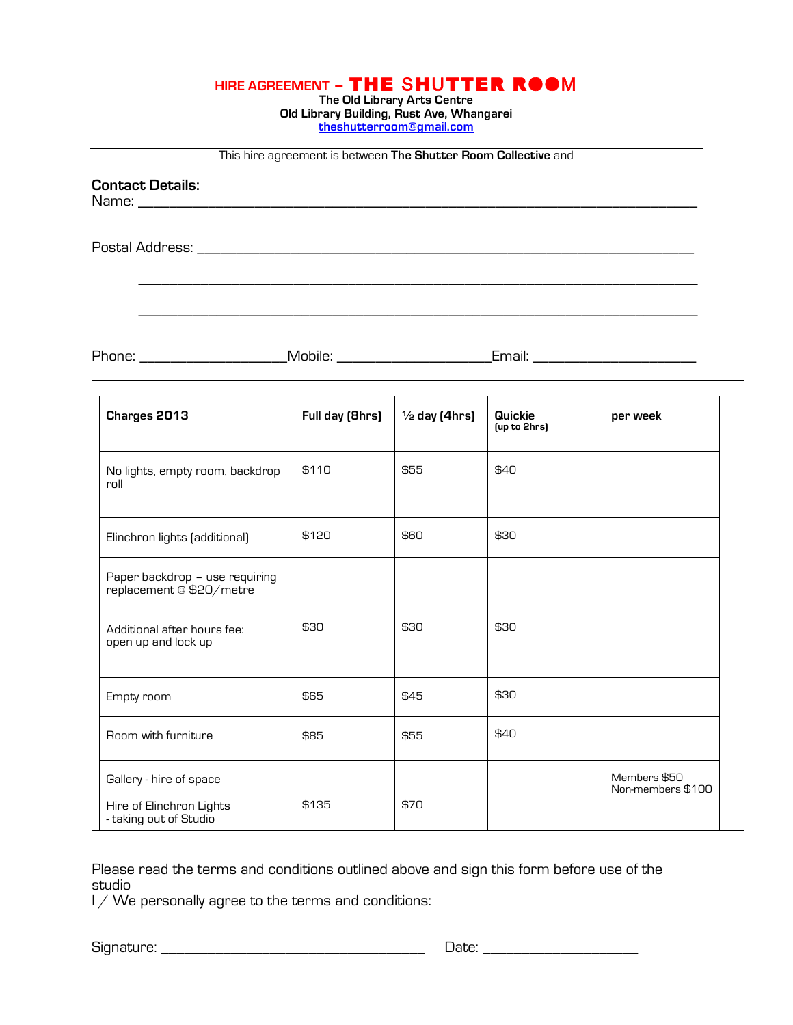|  | HIRE AGREEMENT - THE SHUTTER ROOM |
|--|-----------------------------------|
|--|-----------------------------------|

**The Old Library Arts Centre Old Library Building, Rust Ave, Whangarei theshutterroom@gmail.com**

This hire agreement is between **The Shutter Room Collective** and

\_\_\_\_\_\_\_\_\_\_\_\_\_\_\_\_\_\_\_\_\_\_\_\_\_\_\_\_\_\_\_\_\_\_\_\_\_\_\_\_\_\_\_\_\_\_\_\_\_\_\_\_\_\_\_\_\_\_\_\_\_\_\_\_\_\_\_\_\_\_\_\_

\_\_\_\_\_\_\_\_\_\_\_\_\_\_\_\_\_\_\_\_\_\_\_\_\_\_\_\_\_\_\_\_\_\_\_\_\_\_\_\_\_\_\_\_\_\_\_\_\_\_\_\_\_\_\_\_\_\_\_\_\_\_\_\_\_\_\_\_\_\_\_\_

**Contact Details:**

Name: \_\_\_\_\_\_\_\_\_\_\_\_\_\_\_\_\_\_\_\_\_\_\_\_\_\_\_\_\_\_\_\_\_\_\_\_\_\_\_\_\_\_\_\_\_\_\_\_\_\_\_\_\_\_\_\_\_\_\_\_\_\_\_\_\_\_\_\_\_\_\_\_

Postal Address: \_\_\_\_\_\_\_\_\_\_\_\_\_\_\_\_\_\_\_\_\_\_\_\_\_\_\_\_\_\_\_\_\_\_\_\_\_\_\_\_\_\_\_\_\_\_\_\_\_\_\_\_\_\_\_\_\_\_\_\_\_\_\_\_

Г

Phone: \_\_\_\_\_\_\_\_\_\_\_\_\_\_\_\_\_\_\_Mobile: \_\_\_\_\_\_\_\_\_\_\_\_\_\_\_\_\_\_\_\_Email: \_\_\_\_\_\_\_\_\_\_\_\_\_\_\_\_\_\_\_\_\_

| Charges 2013                                               | Full day (8hrs) | $\frac{1}{2}$ day (4hrs) | Quickie<br>(up to 2hrs) | per week                          |
|------------------------------------------------------------|-----------------|--------------------------|-------------------------|-----------------------------------|
| No lights, empty room, backdrop<br>roll                    | \$110           | \$55                     | \$40                    |                                   |
| Elinchron lights (additional)                              | \$120           | \$60                     | \$30                    |                                   |
| Paper backdrop - use requiring<br>replacement @ \$20/metre |                 |                          |                         |                                   |
| Additional after hours fee:<br>open up and lock up         | \$30            | \$30                     | \$30                    |                                   |
| Empty room                                                 | \$65            | \$45                     | \$30                    |                                   |
| Room with furniture                                        | \$85            | \$55                     | \$40                    |                                   |
| Gallery - hire of space                                    |                 |                          |                         | Members \$50<br>Non-members \$100 |
| Hire of Elinchron Lights<br>- taking out of Studio         | \$135           | \$70                     |                         |                                   |

Please read the terms and conditions outlined above and sign this form before use of the studio

I / We personally agree to the terms and conditions:

Signature: \_\_\_\_\_\_\_\_\_\_\_\_\_\_\_\_\_\_\_\_\_\_\_\_\_\_\_\_\_\_\_\_\_\_ Date: \_\_\_\_\_\_\_\_\_\_\_\_\_\_\_\_\_\_\_\_